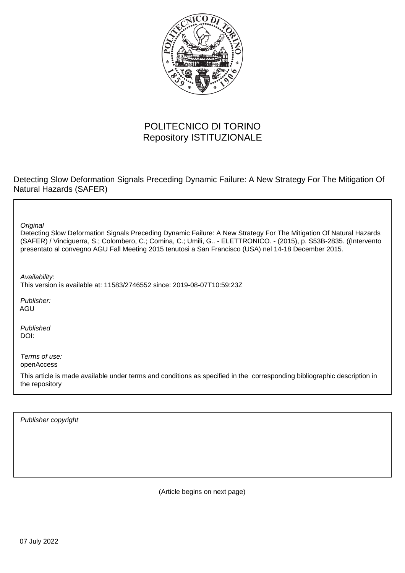

# POLITECNICO DI TORINO Repository ISTITUZIONALE

Detecting Slow Deformation Signals Preceding Dynamic Failure: A New Strategy For The Mitigation Of Natural Hazards (SAFER)

**Original** 

Detecting Slow Deformation Signals Preceding Dynamic Failure: A New Strategy For The Mitigation Of Natural Hazards (SAFER) / Vinciguerra, S.; Colombero, C.; Comina, C.; Umili, G.. - ELETTRONICO. - (2015), p. S53B-2835. ((Intervento presentato al convegno AGU Fall Meeting 2015 tenutosi a San Francisco (USA) nel 14-18 December 2015.

Availability:

This version is available at: 11583/2746552 since: 2019-08-07T10:59:23Z

Publisher: AGU

Published DOI:

Terms of use: openAccess

This article is made available under terms and conditions as specified in the corresponding bibliographic description in the repository

Publisher copyright

(Article begins on next page)